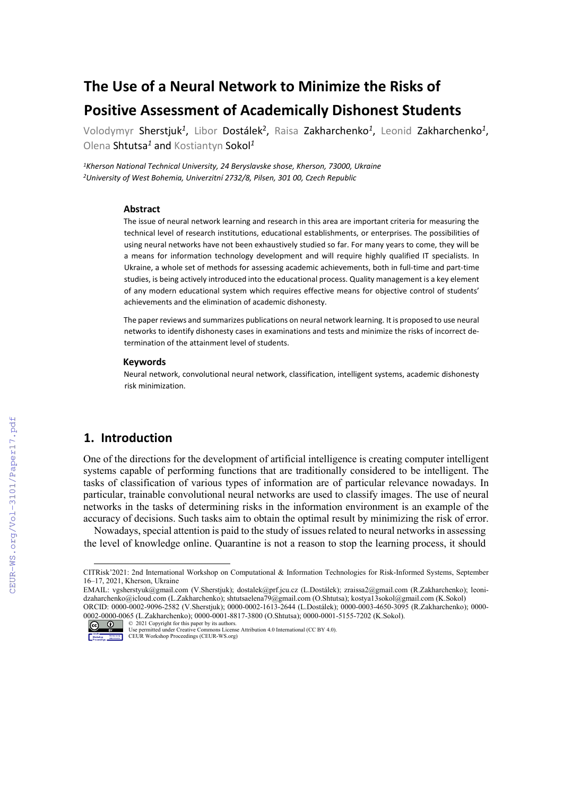# **The Use of a Neural Network to Minimize the Risks of Positive Assessment of Academically Dishonest Students**

Volodymyr Sherstjuk*<sup>1</sup>*, Libor Dostálek2, Raisa Zakharchenko*<sup>1</sup>*, Leonid Zakharchenko*<sup>1</sup>*, Olena Shtutsa*<sup>1</sup>* and Kostiantyn Sokol*<sup>1</sup>*

*1Kherson National Technical University, 24 Beryslavske shose, Kherson, 73000, Ukraine 2University of West Bohemia, Univerzitní 2732/8, Pilsen, 301 00, Czech Republic*

#### **Abstract**

The issue of neural network learning and research in this area are important criteria for measuring the technical level of research institutions, educational establishments, or enterprises. The possibilities of using neural networks have not been exhaustively studied so far. For many years to come, they will be a means for information technology development and will require highly qualified IT specialists. In Ukraine, a whole set of methods for assessing academic achievements, both in full-time and part-time studies, is being actively introduced into the educational process. Quality management is a key element of any modern educational system which requires effective means for objective control of students' achievements and the elimination of academic dishonesty.

The paper reviews and summarizes publications on neural network learning. It is proposed to use neural networks to identify dishonesty cases in examinations and tests and minimize the risks of incorrect determination of the attainment level of students.

#### **Keywords [1](#page-0-0)**

Neural network, convolutional neural network, classification, intelligent systems, academic dishonesty risk minimization.

### **1. Introduction**

One of the directions for the development of artificial intelligence is creating computer intelligent systems capable of performing functions that are traditionally considered to be intelligent. The tasks of classification of various types of information are of particular relevance nowadays. In particular, trainable convolutional neural networks are used to classify images. The use of neural networks in the tasks of determining risks in the information environment is an example of the accuracy of decisions. Such tasks aim to obtain the optimal result by minimizing the risk of error.

Nowadays, special attention is paid to the study of issues related to neural networks in assessing the level of knowledge online. Quarantine is not a reason to stop the learning process, it should

<span id="page-0-0"></span>CITRisk'2021: 2nd International Workshop on Computational & Information Technologies for Risk-Informed Systems, September 16–17, 2021, Kherson, Ukraine

EMAIL: [vgsherstyuk@gmail.com](mailto:vgsherstyuk@gmail.com) (V.Sherstjuk); dostalek@prf.jcu.cz (L.Dostálek); zraissa2@gmail.com (R.Zakharchenko); [leoni](mailto:leonidzaharchenko@icloud.com)[dzaharchenko@icloud.com](mailto:leonidzaharchenko@icloud.com) (L.Zakharchenko)[; shtutsaelena79@gmail.com](mailto:shtutsaelena79@gmail.com) (O.Shtutsa)[; kostya13sokol@gmail.com](mailto:kostya13sokol@gmail.com) (K.Sokol) ORCID: 0000-0002-9096-2582 (V.Sherstjuk); 0000-0002-1613-2644 (L.Dostálek); 0000-0003-4650-3095 (R.Zakharchenko); 0000- 0002-0000-0065 (L.Zakharchenko); 0000-0001-8817-3800 (O.Shtutsa); 0000-0001-5155-7202 (K.Sokol).

<sup>©</sup> 2021 Copyright for this paper by its authors. Use permitted under Creative Commons License Attribution 4.0 International (CC BY 4.0). CEUR Workshop Proceedings (CEUR-WS.org)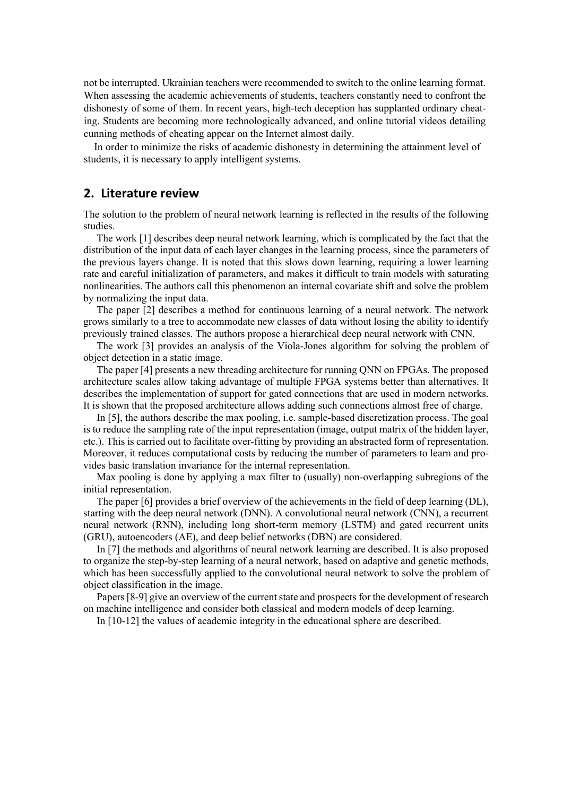not be interrupted. Ukrainian teachers were recommended to switch to the online learning format. When assessing the academic achievements of students, teachers constantly need to confront the dishonesty of some of them. In recent years, high-tech deception has supplanted ordinary cheating. Students are becoming more technologically advanced, and online tutorial videos detailing cunning methods of cheating appear on the Internet almost daily.

In order to minimize the risks of academic dishonesty in determining the attainment level of students, it is necessary to apply intelligent systems.

#### **2. Literature review**

The solution to the problem of neural network learning is reflected in the results of the following studies.

The work [1] describes deep neural network learning, which is complicated by the fact that the distribution of the input data of each layer changes in the learning process, since the parameters of the previous layers change. It is noted that this slows down learning, requiring a lower learning rate and careful initialization of parameters, and makes it difficult to train models with saturating nonlinearities. The authors call this phenomenon an internal covariate shift and solve the problem by normalizing the input data.

The paper [2] describes a method for continuous learning of a neural network. The network grows similarly to a tree to accommodate new classes of data without losing the ability to identify previously trained classes. The authors propose a hierarchical deep neural network with CNN.

The work [3] provides an analysis of the Viola-Jones algorithm for solving the problem of object detection in a static image.

The paper [4] presents a new threading architecture for running QNN on FPGAs. The proposed architecture scales allow taking advantage of multiple FPGA systems better than alternatives. It describes the implementation of support for gated connections that are used in modern networks. It is shown that the proposed architecture allows adding such connections almost free of charge.

In [5], the authors describe the max pooling, i.e. sample-based discretization process. The goal is to reduce the sampling rate of the input representation (image, output matrix of the hidden layer, etc.). This is carried out to facilitate over-fitting by providing an abstracted form of representation. Moreover, it reduces computational costs by reducing the number of parameters to learn and provides basic translation invariance for the internal representation.

Max pooling is done by applying a max filter to (usually) non-overlapping subregions of the initial representation.

The paper [6] provides a brief overview of the achievements in the field of deep learning (DL), starting with the deep neural network (DNN). A convolutional neural network (CNN), a recurrent neural network (RNN), including long short-term memory (LSTM) and gated recurrent units (GRU), autoencoders (AE), and deep belief networks (DBN) are considered.

In [7] the methods and algorithms of neural network learning are described. It is also proposed to organize the step-by-step learning of a neural network, based on adaptive and genetic methods, which has been successfully applied to the convolutional neural network to solve the problem of object classification in the image.

Papers [8-9] give an overview of the current state and prospects for the development of research on machine intelligence and consider both classical and modern models of deep learning.

In [10-12] the values of academic integrity in the educational sphere are described.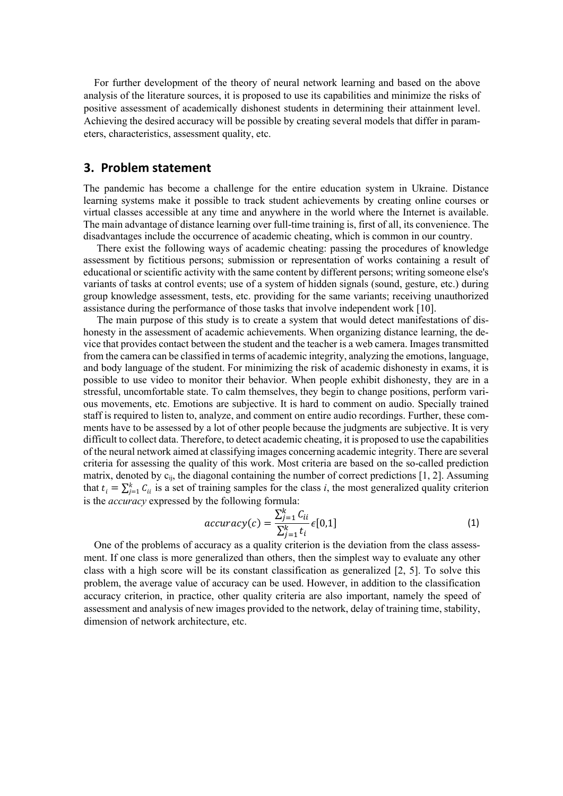For further development of the theory of neural network learning and based on the above analysis of the literature sources, it is proposed to use its capabilities and minimize the risks of positive assessment of academically dishonest students in determining their attainment level. Achieving the desired accuracy will be possible by creating several models that differ in parameters, characteristics, assessment quality, etc.

#### **3. Problem statement**

The pandemic has become a challenge for the entire education system in Ukraine. Distance learning systems make it possible to track student achievements by creating online courses or virtual classes accessible at any time and anywhere in the world where the Internet is available. The main advantage of distance learning over full-time training is, first of all, its convenience. The disadvantages include the occurrence of academic cheating, which is common in our country.

There exist the following ways of academic cheating: passing the procedures of knowledge assessment by fictitious persons; submission or representation of works containing a result of educational or scientific activity with the same content by different persons; writing someone else's variants of tasks at control events; use of a system of hidden signals (sound, gesture, etc.) during group knowledge assessment, tests, etc. providing for the same variants; receiving unauthorized assistance during the performance of those tasks that involve independent work [10].

The main purpose of this study is to create a system that would detect manifestations of dishonesty in the assessment of academic achievements. When organizing distance learning, the device that provides contact between the student and the teacher is a web camera. Images transmitted from the camera can be classified in terms of academic integrity, analyzing the emotions, language, and body language of the student. For minimizing the risk of academic dishonesty in exams, it is possible to use video to monitor their behavior. When people exhibit dishonesty, they are in a stressful, uncomfortable state. To calm themselves, they begin to change positions, perform various movements, etc. Emotions are subjective. It is hard to comment on audio. Specially trained staff is required to listen to, analyze, and comment on entire audio recordings. Further, these comments have to be assessed by a lot of other people because the judgments are subjective. It is very difficult to collect data. Therefore, to detect academic cheating, it is proposed to use the capabilities of the neural network aimed at classifying images concerning academic integrity. There are several criteria for assessing the quality of this work. Most criteria are based on the so-called prediction matrix, denoted by  $c_{ij}$ , the diagonal containing the number of correct predictions [1, 2]. Assuming that  $t_i = \sum_{j=1}^{k} C_{ii}$  is a set of training samples for the class *i*, the most generalized quality criterion is the *accuracy* expressed by the following formula:

$$
accuracy(c) = \frac{\sum_{j=1}^{k} C_{ii}}{\sum_{j=1}^{k} t_i} \epsilon[0,1]
$$
\n(1)

 $\sum_{j=1}^{K} t_i$ <br>One of the problems of accuracy as a quality criterion is the deviation from the class assessment. If one class is more generalized than others, then the simplest way to evaluate any other class with a high score will be its constant classification as generalized [2, 5]. To solve this problem, the average value of accuracy can be used. However, in addition to the classification accuracy criterion, in practice, other quality criteria are also important, namely the speed of assessment and analysis of new images provided to the network, delay of training time, stability, dimension of network architecture, etc.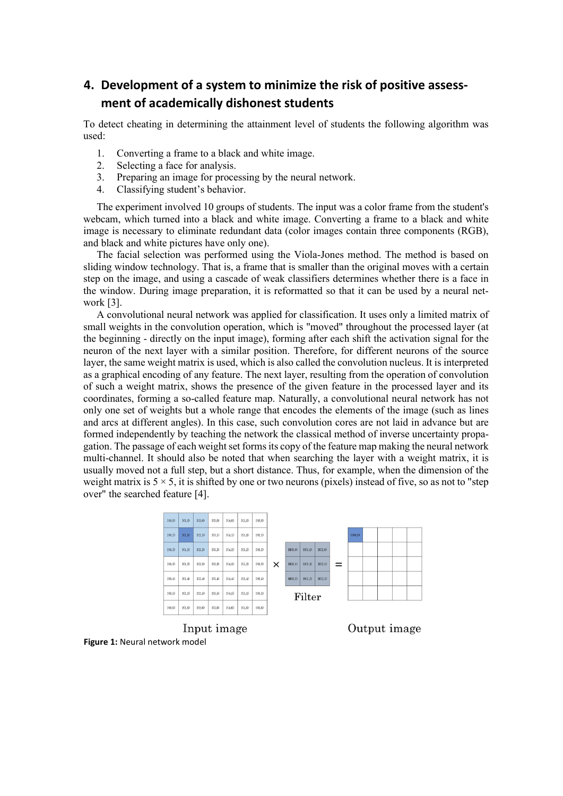## **4. Development of a system to minimize the risk of positive assessment of academically dishonest students**

To detect cheating in determining the attainment level of students the following algorithm was used:

- 1. Converting a frame to a black and white image.
- 2. Selecting a face for analysis.
- 3. Preparing an image for processing by the neural network.
- 4. Classifying student's behavior.

The experiment involved 10 groups of students. The input was a color frame from the student's webcam, which turned into a black and white image. Converting a frame to a black and white image is necessary to eliminate redundant data (color images contain three components (RGB), and black and white pictures have only one).

The facial selection was performed using the Viola-Jones method. The method is based on sliding window technology. That is, a frame that is smaller than the original moves with a certain step on the image, and using a cascade of weak classifiers determines whether there is a face in the window. During image preparation, it is reformatted so that it can be used by a neural network [3].

A convolutional neural network was applied for classification. It uses only a limited matrix of small weights in the convolution operation, which is "moved" throughout the processed layer (at the beginning - directly on the input image), forming after each shift the activation signal for the neuron of the next layer with a similar position. Therefore, for different neurons of the source layer, the same weight matrix is used, which is also called the convolution nucleus. It is interpreted as a graphical encoding of any feature. The next layer, resulting from the operation of convolution of such a weight matrix, shows the presence of the given feature in the processed layer and its coordinates, forming a so-called feature map. Naturally, a convolutional neural network has not only one set of weights but a whole range that encodes the elements of the image (such as lines and arcs at different angles). In this case, such convolution cores are not laid in advance but are formed independently by teaching the network the classical method of inverse uncertainty propagation. The passage of each weight set forms its copy of the feature map making the neural network multi-channel. It should also be noted that when searching the layer with a weight matrix, it is usually moved not a full step, but a short distance. Thus, for example, when the dimension of the weight matrix is  $5 \times 5$ , it is shifted by one or two neurons (pixels) instead of five, so as not to "step" over" the searched feature [4].



**Figure 1:** Neural network model

Output image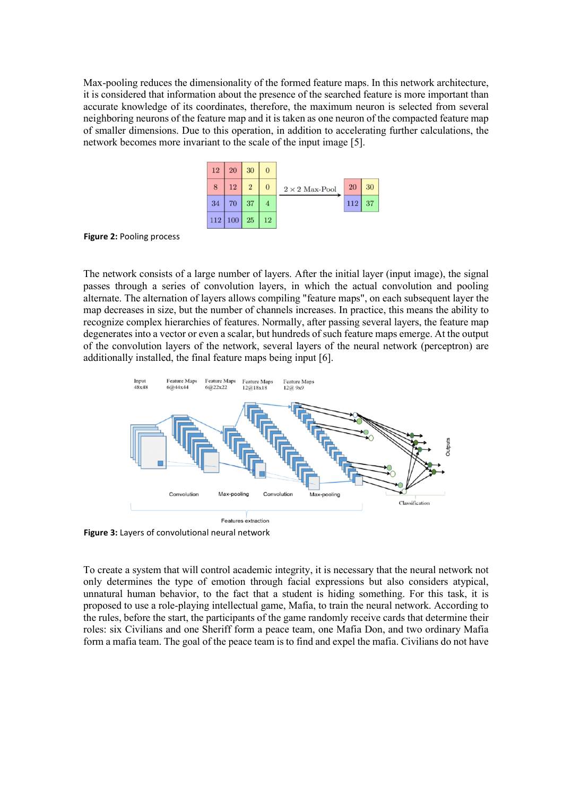Max-pooling reduces the dimensionality of the formed feature maps. In this network architecture, it is considered that information about the presence of the searched feature is more important than accurate knowledge of its coordinates, therefore, the maximum neuron is selected from several neighboring neurons of the feature map and it is taken as one neuron of the compacted feature map of smaller dimensions. Due to this operation, in addition to accelerating further calculations, the network becomes more invariant to the scale of the input image [5].

| 12  | 20  | 30             | $\overline{0}$ |                       |     |    |
|-----|-----|----------------|----------------|-----------------------|-----|----|
| 8   | 12  | $\overline{2}$ | $\overline{0}$ | $2 \times 2$ Max-Pool | 20  | 30 |
| 34  | 70  | 37             |                |                       | 112 | 37 |
| 112 | 100 | 25             | 12             |                       |     |    |

**Figure 2:** Pooling process

The network consists of a large number of layers. After the initial layer (input image), the signal passes through a series of convolution layers, in which the actual convolution and pooling alternate. The alternation of layers allows compiling "feature maps", on each subsequent layer the map decreases in size, but the number of channels increases. In practice, this means the ability to recognize complex hierarchies of features. Normally, after passing several layers, the feature map degenerates into a vector or even a scalar, but hundreds of such feature maps emerge. At the output of the convolution layers of the network, several layers of the neural network (perceptron) are additionally installed, the final feature maps being input [6].



**Figure 3:** Layers of convolutional neural network

To create a system that will control academic integrity, it is necessary that the neural network not only determines the type of emotion through facial expressions but also considers atypical, unnatural human behavior, to the fact that a student is hiding something. For this task, it is proposed to use a role-playing intellectual game, Mafia, to train the neural network. According to the rules, before the start, the participants of the game randomly receive cards that determine their roles: six Civilians and one Sheriff form a peace team, one Mafia Don, and two ordinary Mafia form a mafia team. The goal of the peace team is to find and expel the mafia. Civilians do not have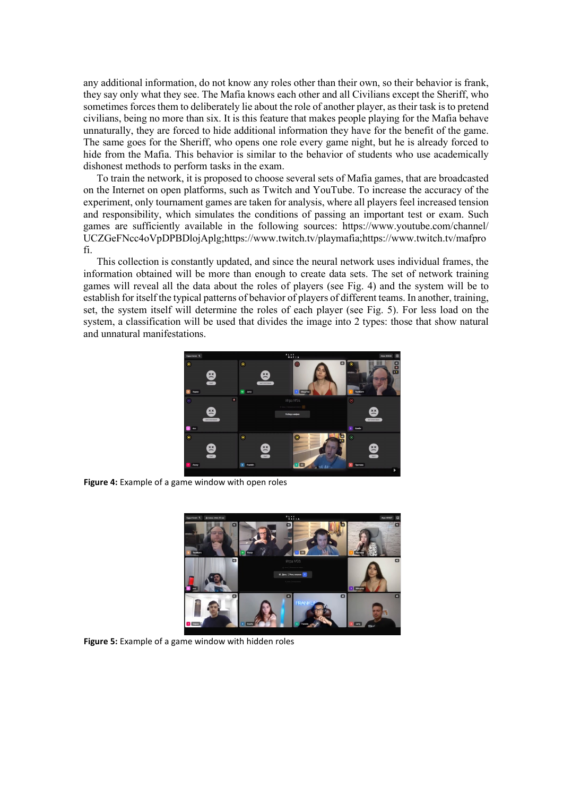any additional information, do not know any roles other than their own, so their behavior is frank, they say only what they see. The Mafia knows each other and all Civilians except the Sheriff, who sometimes forces them to deliberately lie about the role of another player, as their task is to pretend civilians, being no more than six. It is this feature that makes people playing for the Mafia behave unnaturally, they are forced to hide additional information they have for the benefit of the game. The same goes for the Sheriff, who opens one role every game night, but he is already forced to hide from the Mafia. This behavior is similar to the behavior of students who use academically dishonest methods to perform tasks in the exam.

To train the network, it is proposed to choose several sets of Mafia games, that are broadcasted on the Internet on open platforms, such as Twitch and YouTube. To increase the accuracy of the experiment, only tournament games are taken for analysis, where all players feel increased tension and responsibility, which simulates the conditions of passing an important test or exam. Such games are sufficiently available in the following sources: [https://www.youtube.com/channel/](https://www.youtube.com/channel/%20UCZGeFNcc4oVpDPBDlojAplg)  [UCZGeFNcc4oVpDPBDlojAplg](https://www.youtube.com/channel/%20UCZGeFNcc4oVpDPBDlojAplg)[;https://www.twitch.tv/playmafia;](https://www.twitch.tv/playmafia)https://www.twitch.tv/mafpro fi.

This collection is constantly updated, and since the neural network uses individual frames, the information obtained will be more than enough to create data sets. The set of network training games will reveal all the data about the roles of players (see Fig. 4) and the system will be to establish for itself the typical patterns of behavior of players of different teams. In another, training, set, the system itself will determine the roles of each player (see Fig. 5). For less load on the system, a classification will be used that divides the image into 2 types: those that show natural and unnatural manifestations.



**Figure 4:** Example of a game window with open roles



**Figure 5:** Example of a game window with hidden roles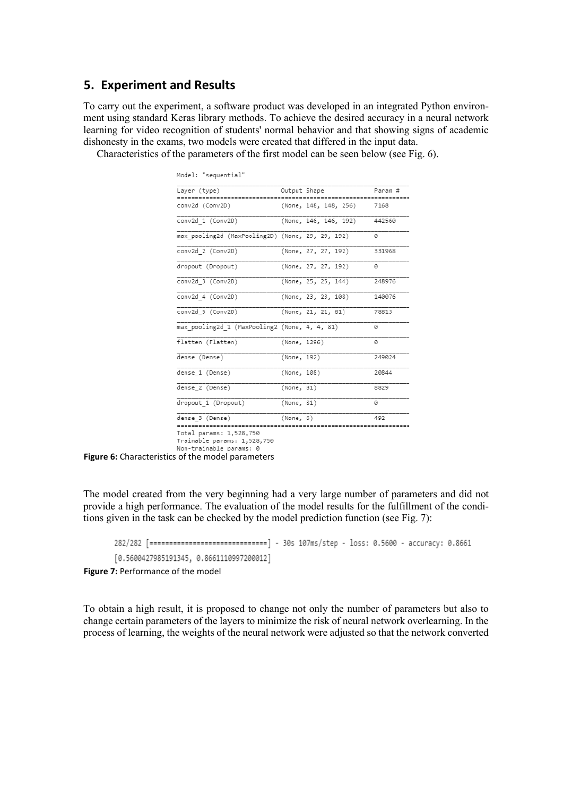#### **5. Experiment and Results**

To carry out the experiment, a software product was developed in an integrated Python environment using standard Keras library methods. To achieve the desired accuracy in a neural network learning for video recognition of students' normal behavior and that showing signs of academic dishonesty in the exams, two models were created that differed in the input data.

Characteristics of the parameters of the first model can be seen below (see Fig. 6).

| Model: "sequential"                              |              |                       |         |
|--------------------------------------------------|--------------|-----------------------|---------|
| Layer (type)                                     | Output Shape |                       | Param # |
| conv2d (Conv2D)                                  |              | (None, 148, 148, 256) | 7168    |
| conv2d 1 (Conv2D)                                |              | (None, 146, 146, 192) | 442560  |
| max pooling2d (MaxPooling2D) (None, 29, 29, 192) |              |                       | ø       |
| conv2d_2 (Conv2D)                                |              | (None, 27, 27, 192)   | 331968  |
| dropout (Dropout)                                |              | (None, 27, 27, 192)   | a       |
| conv2d 3 (Conv2D)                                |              | (None, 25, 25, 144)   | 248976  |
| conv2d 4 (Conv2D)                                |              | (None, 23, 23, 108)   | 140076  |
| conv2d 5 (Conv2D)                                |              | (None, 21, 21, 81)    | 78813   |
| max pooling2d 1 (MaxPooling2 (None, 4, 4, 81)    |              |                       | ø       |
| flatten (Flatten)                                | (None, 1296) |                       | a       |
| dense (Dense)                                    | (None, 192)  |                       | 249024  |
| dense 1 (Dense)                                  | (None, 108)  |                       | 20844   |
| dense 2 (Dense)                                  | (None, 81)   |                       | 8829    |
| dropout 1 (Dropout)                              | (None, 81)   |                       | ø       |
| dense 3 (Dense)                                  | (None, 6)    |                       | 492     |

Total params: 1,528,750<br>Trainable params: 1,528,750

Non-trainable params: 0

**Figure 6:** Characteristics of the model parameters

The model created from the very beginning had a very large number of parameters and did not provide a high performance. The evaluation of the model results for the fulfillment of the conditions given in the task can be checked by the model prediction function (see Fig. 7):

282/282 [=============================] - 30s 107ms/step - loss: 0.5600 - accuracy: 0.8661 [0.5600427985191345, 0.8661110997200012]

**Figure 7: Performance of the model** 

To obtain a high result, it is proposed to change not only the number of parameters but also to change certain parameters of the layers to minimize the risk of neural network overlearning. In the process of learning, the weights of the neural network were adjusted so that the network converted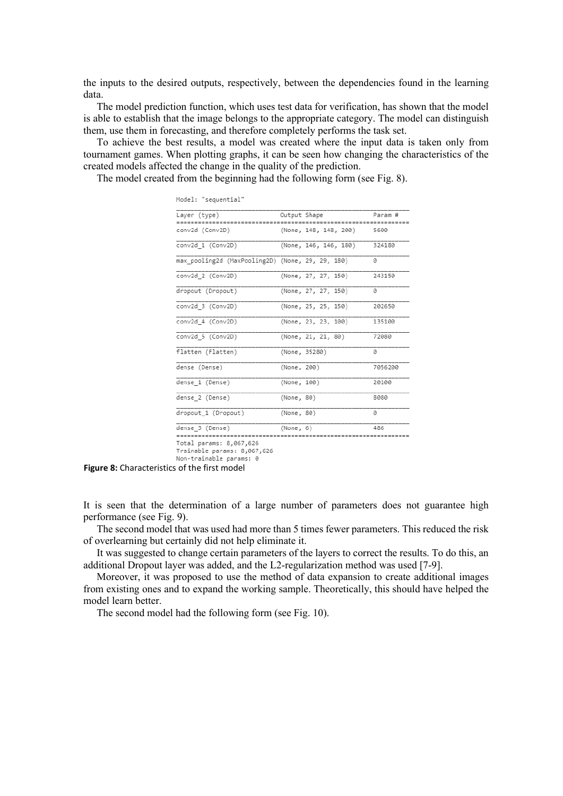the inputs to the desired outputs, respectively, between the dependencies found in the learning data.

The model prediction function, which uses test data for verification, has shown that the model is able to establish that the image belongs to the appropriate category. The model can distinguish them, use them in forecasting, and therefore completely performs the task set.

To achieve the best results, a model was created where the input data is taken only from tournament games. When plotting graphs, it can be seen how changing the characteristics of the created models affected the change in the quality of the prediction.

The model created from the beginning had the following form (see Fig. 8).

| Layer (type)                                     | Output Shape |                           | Param #                     |
|--------------------------------------------------|--------------|---------------------------|-----------------------------|
| ----------------------------<br>conv2d (Conv2D)  |              | <br>(None, 148, 148, 200) | . = = = = = = = = =<br>5600 |
| conv2d 1 (Conv2D)                                |              | (None, 146, 146, 180)     | 324180                      |
| max pooling2d (MaxPooling2D) (None, 29, 29, 180) |              |                           | ø                           |
| conv2d 2 (Conv2D)                                |              | (None, 27, 27, 150)       | 243150                      |
| dropout (Dropout)                                |              | (None, 27, 27, 150)       | 0                           |
| conv2d 3 (Conv2D)                                |              | (None, 25, 25, 150)       | 202650                      |
| conv2d 4 (Conv2D)                                |              | (None, 23, 23, 100)       | 135100                      |
| conv2d 5 (Conv2D)                                |              | (None, 21, 21, 80)        | 72080                       |
| flatten (Flatten)                                |              | (None, 35280)             | ø                           |
| dense (Dense)                                    | (None, 200)  |                           | 7056200                     |
| dense 1 (Dense)                                  | (None, 100)  |                           | 20100                       |
| dense 2 (Dense)                                  | (None, 80)   |                           | 8080                        |
| dropout 1 (Dropout)                              | (None, 80)   |                           | 0                           |
| dense 3 (Dense)                                  | (None, 6)    |                           | 486                         |

Trainable params: 8,067,626

Non-trainable params: 0

**Figure 8:** Characteristics of the first model

It is seen that the determination of a large number of parameters does not guarantee high performance (see Fig. 9).

The second model that was used had more than 5 times fewer parameters. This reduced the risk of overlearning but certainly did not help eliminate it.

It was suggested to change certain parameters of the layers to correct the results. To do this, an additional Dropout layer was added, and the L2-regularization method was used [7-9].

Moreover, it was proposed to use the method of data expansion to create additional images from existing ones and to expand the working sample. Theoretically, this should have helped the model learn better.

The second model had the following form (see Fig. 10).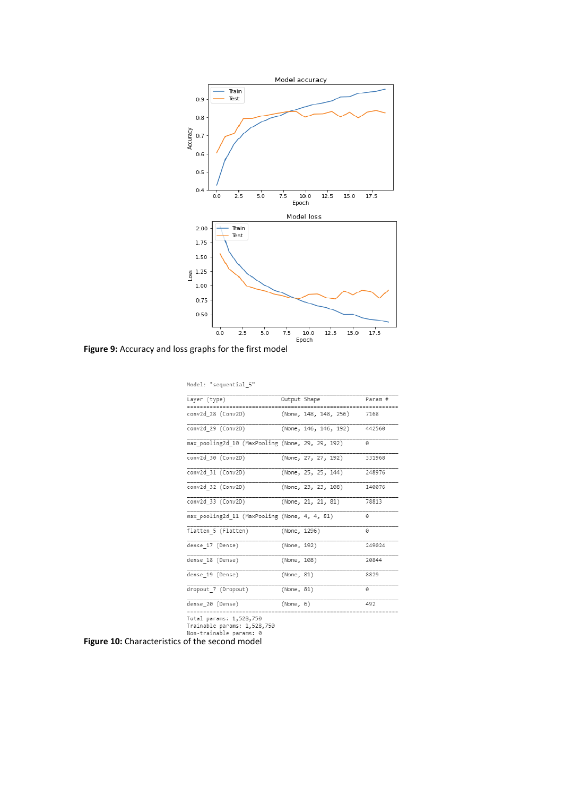

**Figure 9:** Accuracy and loss graphs for the first model

| Model: "sequential 5"                            |              |                       |         |
|--------------------------------------------------|--------------|-----------------------|---------|
| Layer (type)                                     | Output Shape |                       | Param # |
| conv2d 28 (Conv2D)                               |              | (None, 148, 148, 256) | 7168    |
| conv2d 29 (Conv2D)                               |              | (None, 146, 146, 192) | 442560  |
| max pooling2d 10 (MaxPooling (None, 29, 29, 192) |              |                       | 0       |
| conv2d 30 (Conv2D)                               |              | (None, 27, 27, 192)   | 331968  |
| conv2d_31 (Conv2D)                               |              | (None, 25, 25, 144)   | 248976  |
| conv2d_32 (Conv2D)                               |              | (None, 23, 23, 108)   | 140076  |
| conv2d 33 (Conv2D)                               |              | (None, 21, 21, 81)    | 78813   |
| max pooling2d 11 (MaxPooling (None, 4, 4, 81)    |              |                       | ø       |
| flatten 5 (Flatten)                              | (None, 1296) |                       | ø       |
| dense 17 (Dense)                                 | (None, 192)  |                       | 249024  |
| dense 18 (Dense)                                 | (None, 108)  |                       | 20844   |
| dense 19 (Dense)                                 | (None, 81)   |                       | 8829    |
| dropout 7 (Dropout)                              | (None, 81)   |                       | 0       |
| dense 20 (Dense)                                 | (None, 6)    |                       | 492     |
| Total narame: 1 528 750                          |              |                       |         |

Total params: 1,528,750<br>Trainable params: 1,528,750<br>Non-trainable params: 0<br>**Figure 10:** Characteristics of the second model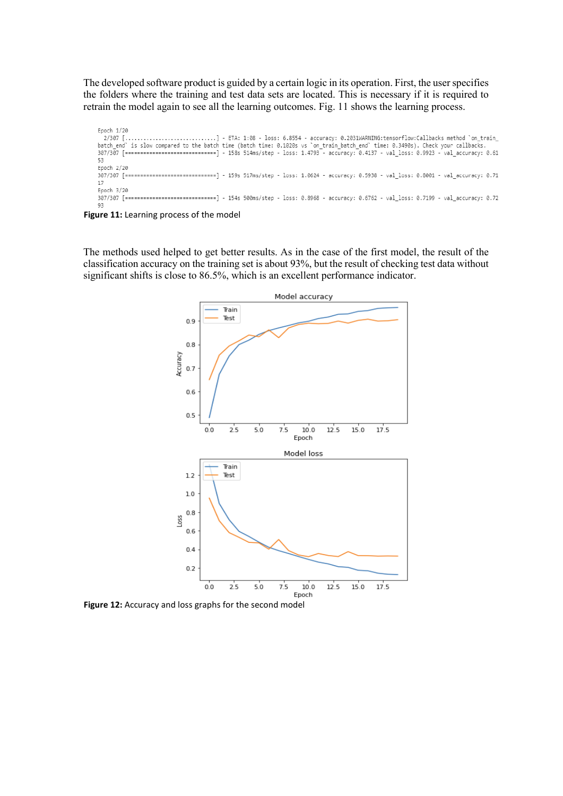The developed software product is guided by a certain logic in its operation. First, the user specifies the folders where the training and test data sets are located. This is necessary if it is required to retrain the model again to see all the learning outcomes. Fig. 11 shows the learning process.

Epoch 1/20 - 2/307 [................................] - ETA: 1:08 - loss: 6.8554 - accuracy: 0.2031WARNING:tensorflow:Callbacks method `on\_train\_<br>batch\_end` is slow compared to the batch time (batch time: 0.1020s vs `on\_train\_batch\_e 53 Epoch 2/20 -------------------] - 159s 517ms/step - loss: 1.0624 - accuracy: 0.5938 - val\_loss: 0.8001 - val\_accuracy: 0.71 307/307 [=======  $17$ Epoch 3/20 307/307 [=============================] - 154s 500ms/step - loss: 0.8968 - accuracy: 0.6762 - val\_loss: 0.7199 - val\_accuracy: 0.72 93

**Figure 11:** Learning process of the model

The methods used helped to get better results. As in the case of the first model, the result of the classification accuracy on the training set is about 93%, but the result of checking test data without significant shifts is close to 86.5%, which is an excellent performance indicator.



Figure 12: Accuracy and loss graphs for the second model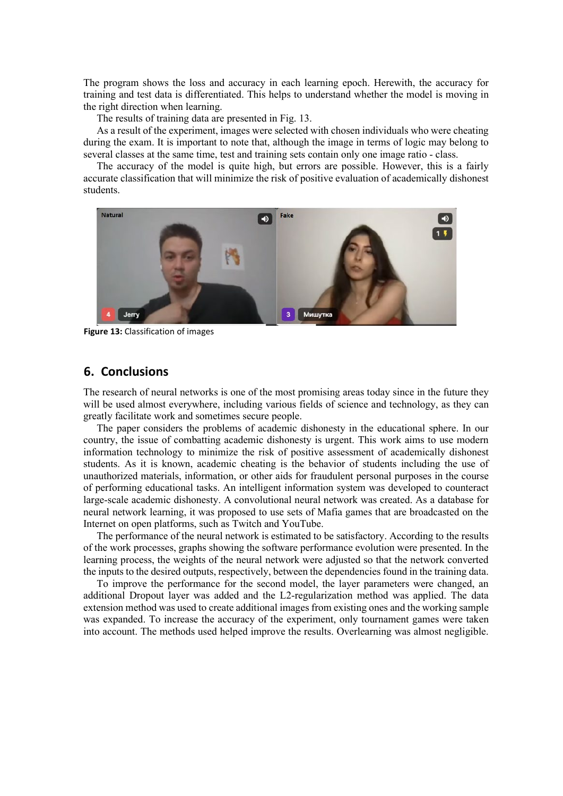The program shows the loss and accuracy in each learning epoch. Herewith, the accuracy for training and test data is differentiated. This helps to understand whether the model is moving in the right direction when learning.

The results of training data are presented in Fig. 13.

As a result of the experiment, images were selected with chosen individuals who were cheating during the exam. It is important to note that, although the image in terms of logic may belong to several classes at the same time, test and training sets contain only one image ratio - class.

The accuracy of the model is quite high, but errors are possible. However, this is a fairly accurate classification that will minimize the risk of positive evaluation of academically dishonest students.



**Figure 13:** Classification of images

#### **6. Conclusions**

The research of neural networks is one of the most promising areas today since in the future they will be used almost everywhere, including various fields of science and technology, as they can greatly facilitate work and sometimes secure people.

The paper considers the problems of academic dishonesty in the educational sphere. In our country, the issue of combatting academic dishonesty is urgent. This work aims to use modern information technology to minimize the risk of positive assessment of academically dishonest students. As it is known, academic cheating is the behavior of students including the use of unauthorized materials, information, or other aids for fraudulent personal purposes in the course of performing educational tasks. An intelligent information system was developed to counteract large-scale academic dishonesty. A convolutional neural network was created. As a database for neural network learning, it was proposed to use sets of Mafia games that are broadcasted on the Internet on open platforms, such as Twitch and YouTube.

The performance of the neural network is estimated to be satisfactory. According to the results of the work processes, graphs showing the software performance evolution were presented. In the learning process, the weights of the neural network were adjusted so that the network converted the inputs to the desired outputs, respectively, between the dependencies found in the training data.

To improve the performance for the second model, the layer parameters were changed, an additional Dropout layer was added and the L2-regularization method was applied. The data extension method was used to create additional images from existing ones and the working sample was expanded. To increase the accuracy of the experiment, only tournament games were taken into account. The methods used helped improve the results. Overlearning was almost negligible.